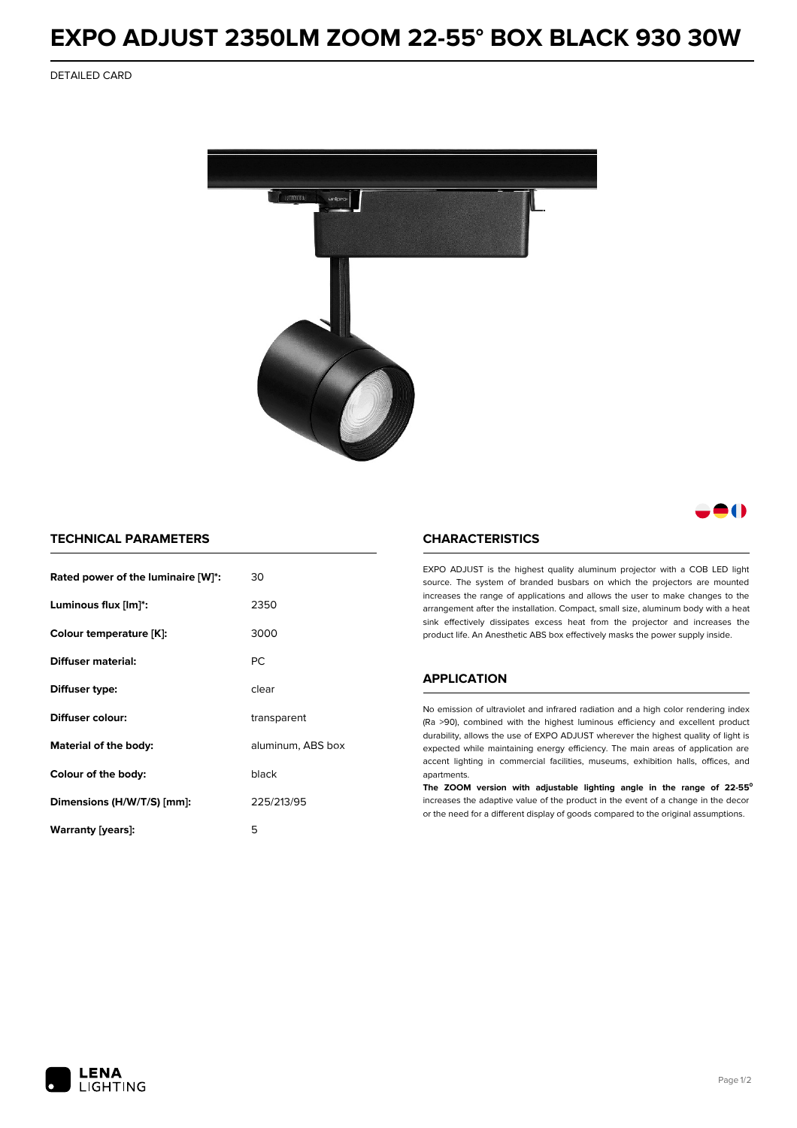## **EXPO ADJUST 2350LM ZOOM 22-55° BOX BLACK 930 30W**

DETAILED CARD



80

### **TECHNICAL PARAMETERS**

| Rated power of the luminaire [W]*: | 30                |  |
|------------------------------------|-------------------|--|
| Luminous flux [lm]*:               | 2350              |  |
| Colour temperature [K]:            | 3000              |  |
| Diffuser material:                 | РC                |  |
| Diffuser type:                     | clear             |  |
| Diffuser colour:                   | transparent       |  |
| Material of the body:              | aluminum, ABS box |  |
| Colour of the body:                | black             |  |
| Dimensions (H/W/T/S) [mm]:         | 225/213/95        |  |
| Warranty (years):                  | 5                 |  |

#### **CHARACTERISTICS**

EXPO ADJUST is the highest quality aluminum projector with a COB LED light source. The system of branded busbars on which the projectors are mounted increases the range of applications and allows the user to make changes to the arrangement after the installation. Compact, small size, aluminum body with a heat sink effectively dissipates excess heat from the projector and increases the product life. An Anesthetic ABS box effectively masks the power supply inside.

## **APPLICATION**

No emission of ultraviolet and infrared radiation and a high color rendering index (Ra >90), combined with the highest luminous efficiency and excellent product durability, allows the use of EXPO ADJUST wherever the highest quality of light is expected while maintaining energy efficiency. The main areas of application are accent lighting in commercial facilities, museums, exhibition halls, offices, and apartments.

**The ZOOM version with adjustable lighting angle in the range of 22-55⁰** increases the adaptive value of the product in the event of a change in the decor or the need for a different display of goods compared to the original assumptions.